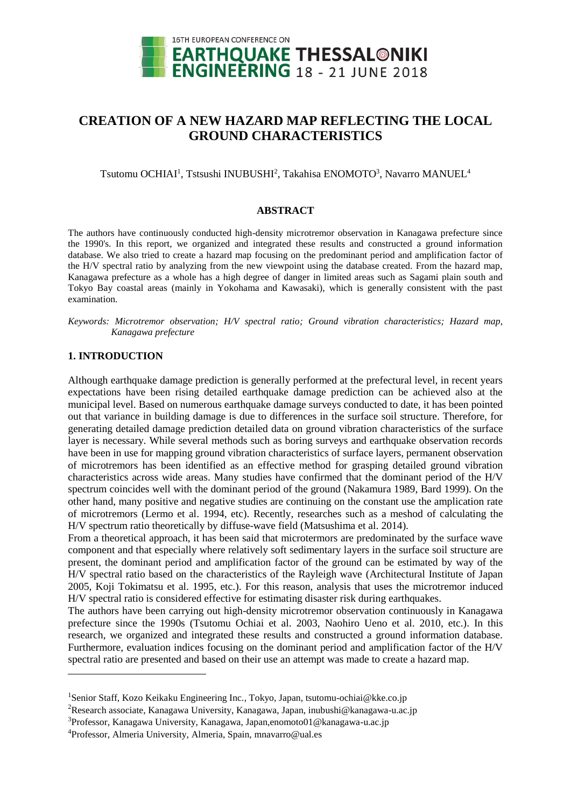

# **CREATION OF A NEW HAZARD MAP REFLECTING THE LOCAL GROUND CHARACTERISTICS**

Tsutomu OCHIAI<sup>1</sup>, Tstsushi INUBUSHI<sup>2</sup>, Takahisa ENOMOTO<sup>3</sup>, Navarro MANUEL<sup>4</sup>

#### **ABSTRACT**

The authors have continuously conducted high-density microtremor observation in Kanagawa prefecture since the 1990's. In this report, we organized and integrated these results and constructed a ground information database. We also tried to create a hazard map focusing on the predominant period and amplification factor of the H/V spectral ratio by analyzing from the new viewpoint using the database created. From the hazard map, Kanagawa prefecture as a whole has a high degree of danger in limited areas such as Sagami plain south and Tokyo Bay coastal areas (mainly in Yokohama and Kawasaki), which is generally consistent with the past examination.

*Keywords: Microtremor observation; H/V spectral ratio; Ground vibration characteristics; Hazard map, Kanagawa prefecture*

## **1. INTRODUCTION**

 $\overline{a}$ 

Although earthquake damage prediction is generally performed at the prefectural level, in recent years expectations have been rising detailed earthquake damage prediction can be achieved also at the municipal level. Based on numerous earthquake damage surveys conducted to date, it has been pointed out that variance in building damage is due to differences in the surface soil structure. Therefore, for generating detailed damage prediction detailed data on ground vibration characteristics of the surface layer is necessary. While several methods such as boring surveys and earthquake observation records have been in use for mapping ground vibration characteristics of surface layers, permanent observation of microtremors has been identified as an effective method for grasping detailed ground vibration characteristics across wide areas. Many studies have confirmed that the dominant period of the H/V spectrum coincides well with the dominant period of the ground (Nakamura 1989, Bard 1999). On the other hand, many positive and negative studies are continuing on the constant use the amplication rate of microtremors (Lermo et al. 1994, etc). Recently, researches such as a meshod of calculating the H/V spectrum ratio theoretically by diffuse-wave field (Matsushima et al. 2014).

From a theoretical approach, it has been said that microtermors are predominated by the surface wave component and that especially where relatively soft sedimentary layers in the surface soil structure are present, the dominant period and amplification factor of the ground can be estimated by way of the H/V spectral ratio based on the characteristics of the Rayleigh wave (Architectural Institute of Japan 2005, Koji Tokimatsu et al. 1995, etc.). For this reason, analysis that uses the microtremor induced H/V spectral ratio is considered effective for estimating disaster risk during earthquakes.

The authors have been carrying out high-density microtremor observation continuously in Kanagawa prefecture since the 1990s (Tsutomu Ochiai et al. 2003, Naohiro Ueno et al. 2010, etc.). In this research, we organized and integrated these results and constructed a ground information database. Furthermore, evaluation indices focusing on the dominant period and amplification factor of the H/V spectral ratio are presented and based on their use an attempt was made to create a hazard map.

<sup>&</sup>lt;sup>1</sup>Senior Staff, Kozo Keikaku Engineering Inc., Tokyo, Japan, tsutomu-ochiai@kke.co.jp

<sup>&</sup>lt;sup>2</sup>Research associate, Kanagawa University, Kanagawa, Japan, inubushi@kanagawa-u.ac.jp

<sup>3</sup>Professor, Kanagawa University, Kanagawa, Japan,enomoto01@kanagawa-u.ac.jp

<sup>4</sup>Professor, Almeria University, Almeria, Spain, mnavarro@ual.es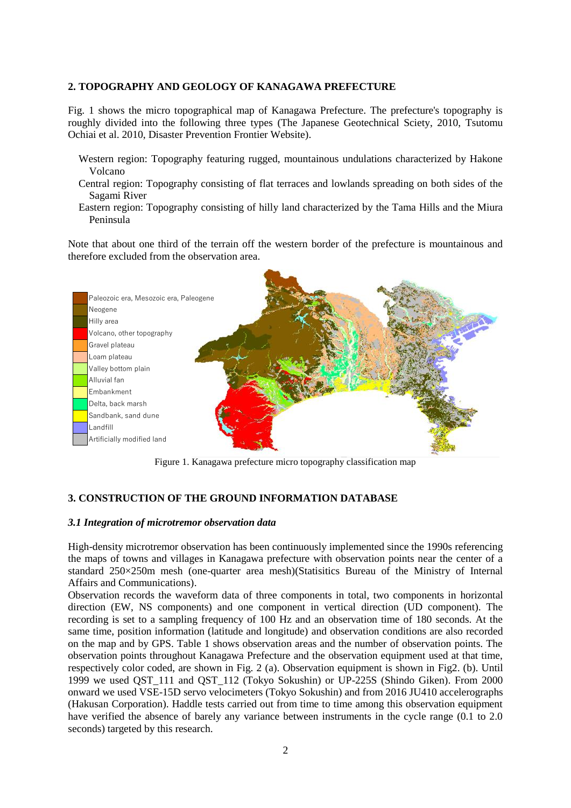## **2. TOPOGRAPHY AND GEOLOGY OF KANAGAWA PREFECTURE**

Fig. 1 shows the micro topographical map of Kanagawa Prefecture. The prefecture's topography is roughly divided into the following three types (The Japanese Geotechnical Sciety, 2010, Tsutomu Ochiai et al. 2010, Disaster Prevention Frontier Website).

- Western region: Topography featuring rugged, mountainous undulations characterized by Hakone Volcano
- Central region: Topography consisting of flat terraces and lowlands spreading on both sides of the Sagami River
- Eastern region: Topography consisting of hilly land characterized by the Tama Hills and the Miura Peninsula

Note that about one third of the terrain off the western border of the prefecture is mountainous and therefore excluded from the observation area.



Figure 1. Kanagawa prefecture micro topography classification map

## **3. CONSTRUCTION OF THE GROUND INFORMATION DATABASE**

## *3.1 Integration of microtremor observation data*

High-density microtremor observation has been continuously implemented since the 1990s referencing the maps of towns and villages in Kanagawa prefecture with observation points near the center of a standard 250×250m mesh (one-quarter area mesh)(Statisitics Bureau of the Ministry of Internal Affairs and Communications).

Observation records the waveform data of three components in total, two components in horizontal direction (EW, NS components) and one component in vertical direction (UD component). The recording is set to a sampling frequency of 100 Hz and an observation time of 180 seconds. At the same time, position information (latitude and longitude) and observation conditions are also recorded on the map and by GPS. Table 1 shows observation areas and the number of observation points. The observation points throughout Kanagawa Prefecture and the observation equipment used at that time, respectively color coded, are shown in Fig. 2 (a). Observation equipment is shown in Fig2. (b). Until 1999 we used QST\_111 and QST\_112 (Tokyo Sokushin) or UP-225S (Shindo Giken). From 2000 onward we used VSE-15D servo velocimeters (Tokyo Sokushin) and from 2016 JU410 accelerographs (Hakusan Corporation). Haddle tests carried out from time to time among this observation equipment have verified the absence of barely any variance between instruments in the cycle range (0.1 to 2.0 seconds) targeted by this research.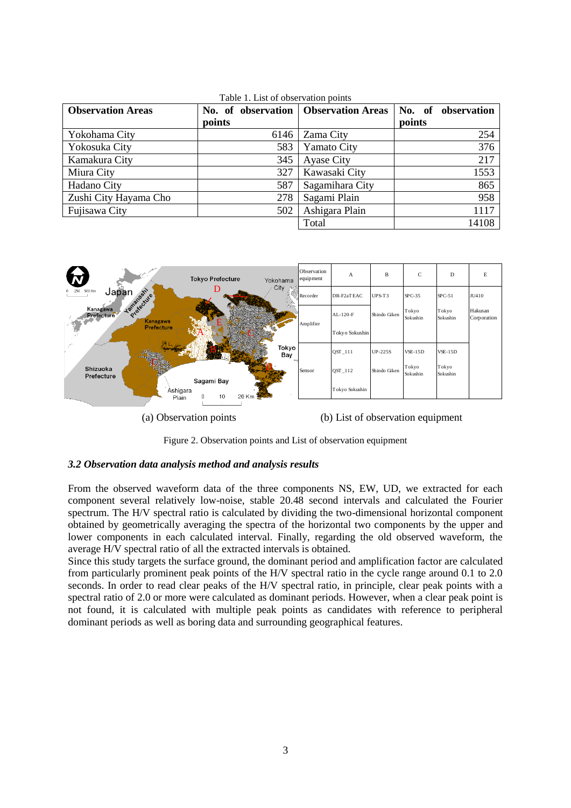| <b>Observation Areas</b> | No. of observation   Observation Areas |                 | No. of<br>observation |
|--------------------------|----------------------------------------|-----------------|-----------------------|
|                          | points                                 |                 | points                |
| Yokohama City            | 6146                                   | Zama City       | 254                   |
| Yokosuka City            | 583                                    | Yamato City     | 376                   |
| Kamakura City            | 345                                    | Ayase City      | 217                   |
| Miura City               | 327                                    | Kawasaki City   | 1553                  |
| Hadano City              | 587                                    | Sagamihara City | 865                   |
| Zushi City Hayama Cho    | 278                                    | Sagami Plain    | 958                   |
| Fujisawa City            | 502                                    | Ashigara Plain  | 1117                  |
|                          |                                        | Total           | 14108                 |

Table 1. List of observation points



(a) Observation points (b) List of observation equipment

Figure 2. Observation points and List of observation equipment

## *3.2 Observation data analysis method and analysis results*

From the observed waveform data of the three components NS, EW, UD, we extracted for each component several relatively low-noise, stable 20.48 second intervals and calculated the Fourier spectrum. The H/V spectral ratio is calculated by dividing the two-dimensional horizontal component obtained by geometrically averaging the spectra of the horizontal two components by the upper and lower components in each calculated interval. Finally, regarding the old observed waveform, the average H/V spectral ratio of all the extracted intervals is obtained.

Since this study targets the surface ground, the dominant period and amplification factor are calculated from particularly prominent peak points of the H/V spectral ratio in the cycle range around 0.1 to 2.0 seconds. In order to read clear peaks of the H/V spectral ratio, in principle, clear peak points with a spectral ratio of 2.0 or more were calculated as dominant periods. However, when a clear peak point is not found, it is calculated with multiple peak points as candidates with reference to peripheral dominant periods as well as boring data and surrounding geographical features.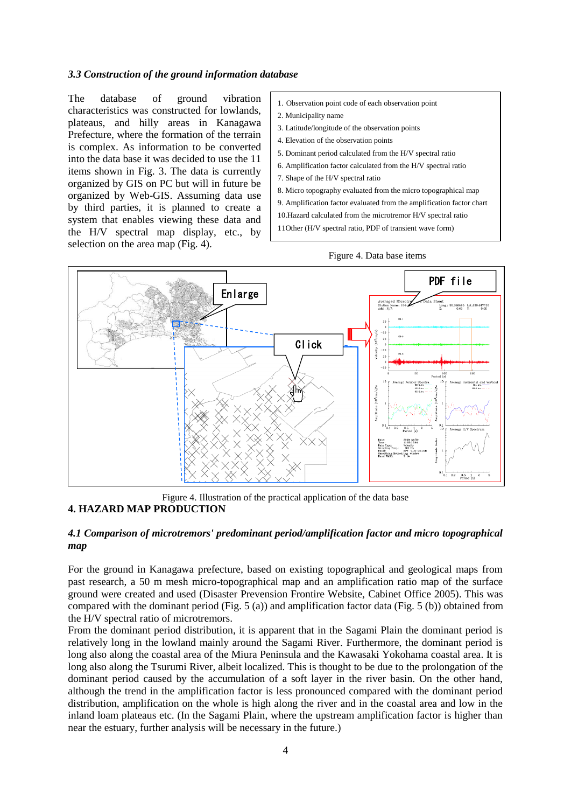#### *3.3 Construction of the ground information database*

The database of ground vibration characteristics was constructed for lowlands, plateaus, and hilly areas in Kanagawa Prefecture, where the formation of the terrain is complex. As information to be converted into the data base it was decided to use the 11 items shown in Fig. 3. The data is currently organized by GIS on PC but will in future be organized by Web-GIS. Assuming data use by third parties, it is planned to create a system that enables viewing these data and the H/V spectral map display, etc., by selection on the area map (Fig. 4).

- 1. Observation point code of each observation point
- 2. Municipality name
- 3. Latitude/longitude of the observation points
- 4. Elevation of the observation points
- 5. Dominant period calculated from the H/V spectral ratio
- 6. Amplification factor calculated from the H/V spectral ratio
- 7. Shape of the H/V spectral ratio
- 8. Micro topography evaluated from the micro topographical map

9. Amplification factor evaluated from the amplification factor chart

10.Hazard calculated from the microtremor H/V spectral ratio

11Other (H/V spectral ratio, PDF of transient wave form)



Figure 4. Illustration of the practical application of the data base **4. HAZARD MAP PRODUCTION**

## *4.1 Comparison of microtremors' predominant period/amplification factor and micro topographical map*

For the ground in Kanagawa prefecture, based on existing topographical and geological maps from past research, a 50 m mesh micro-topographical map and an amplification ratio map of the surface ground were created and used (Disaster Prevension Frontire Website, Cabinet Office 2005). This was compared with the dominant period (Fig. 5 (a)) and amplification factor data (Fig. 5 (b)) obtained from the H/V spectral ratio of microtremors.

From the dominant period distribution, it is apparent that in the Sagami Plain the dominant period is relatively long in the lowland mainly around the Sagami River. Furthermore, the dominant period is long also along the coastal area of the Miura Peninsula and the Kawasaki Yokohama coastal area. It is long also along the Tsurumi River, albeit localized. This is thought to be due to the prolongation of the dominant period caused by the accumulation of a soft layer in the river basin. On the other hand, although the trend in the amplification factor is less pronounced compared with the dominant period distribution, amplification on the whole is high along the river and in the coastal area and low in the inland loam plateaus etc. (In the Sagami Plain, where the upstream amplification factor is higher than near the estuary, further analysis will be necessary in the future.)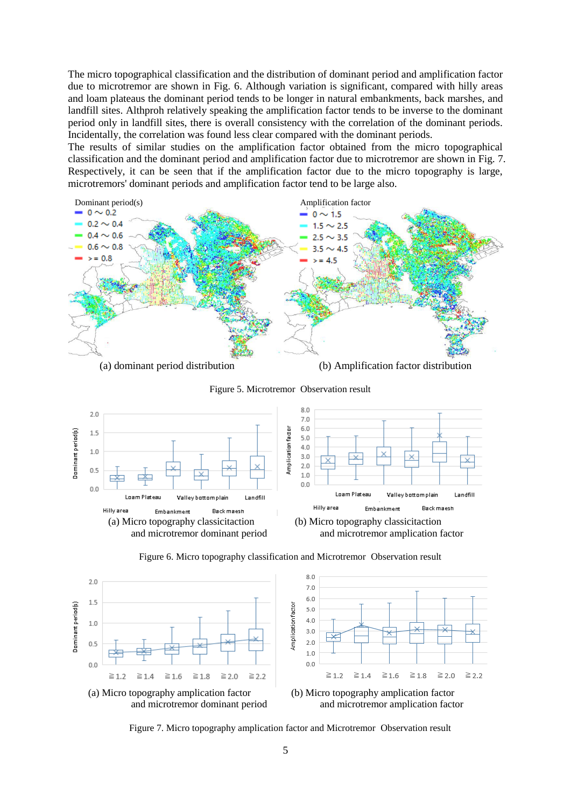The micro topographical classification and the distribution of dominant period and amplification factor due to microtremor are shown in Fig. 6. Although variation is significant, compared with hilly areas and loam plateaus the dominant period tends to be longer in natural embankments, back marshes, and landfill sites. Althproh relatively speaking the amplification factor tends to be inverse to the dominant period only in landfill sites, there is overall consistency with the correlation of the dominant periods. Incidentally, the correlation was found less clear compared with the dominant periods.

The results of similar studies on the amplification factor obtained from the micro topographical classification and the dominant period and amplification factor due to microtremor are shown in Fig. 7. Respectively, it can be seen that if the amplification factor due to the micro topography is large, microtremors' dominant periods and amplification factor tend to be large also.



Figure 5. Microtremor Observation result







Figure 7. Micro topography amplication factor and Microtremor Observation result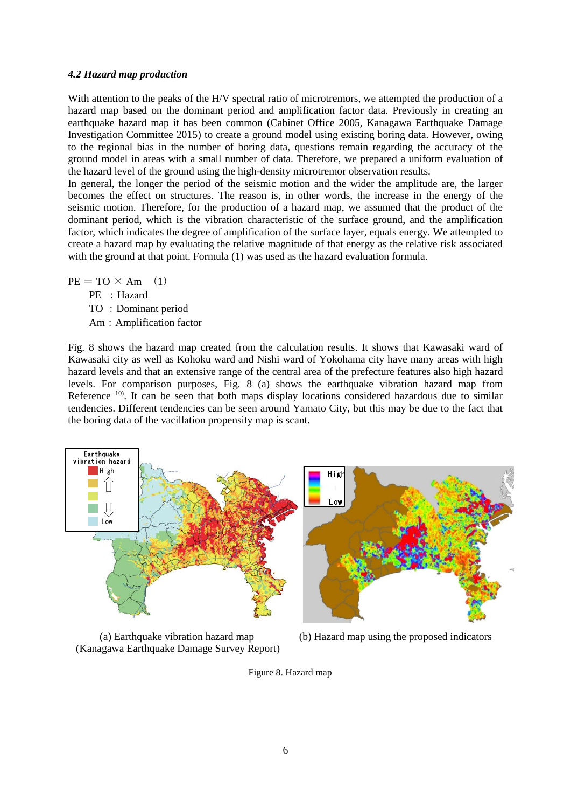#### *4.2 Hazard map production*

With attention to the peaks of the H/V spectral ratio of microtremors, we attempted the production of a hazard map based on the dominant period and amplification factor data. Previously in creating an earthquake hazard map it has been common (Cabinet Office 2005, Kanagawa Earthquake Damage Investigation Committee 2015) to create a ground model using existing boring data. However, owing to the regional bias in the number of boring data, questions remain regarding the accuracy of the ground model in areas with a small number of data. Therefore, we prepared a uniform evaluation of the hazard level of the ground using the high-density microtremor observation results.

In general, the longer the period of the seismic motion and the wider the amplitude are, the larger becomes the effect on structures. The reason is, in other words, the increase in the energy of the seismic motion. Therefore, for the production of a hazard map, we assumed that the product of the dominant period, which is the vibration characteristic of the surface ground, and the amplification factor, which indicates the degree of amplification of the surface layer, equals energy. We attempted to create a hazard map by evaluating the relative magnitude of that energy as the relative risk associated with the ground at that point. Formula  $(1)$  was used as the hazard evaluation formula.

 $PE = TO \times Am$  (1)

- PE : Hazard
- TO : Dominant period
- Am:Amplification factor

Fig. 8 shows the hazard map created from the calculation results. It shows that Kawasaki ward of Kawasaki city as well as Kohoku ward and Nishi ward of Yokohama city have many areas with high hazard levels and that an extensive range of the central area of the prefecture features also high hazard levels. For comparison purposes, Fig. 8 (a) shows the earthquake vibration hazard map from Reference <sup>10</sup>. It can be seen that both maps display locations considered hazardous due to similar tendencies. Different tendencies can be seen around Yamato City, but this may be due to the fact that the boring data of the vacillation propensity map is scant.



(Kanagawa Earthquake Damage Survey Report)



Figure 8. Hazard map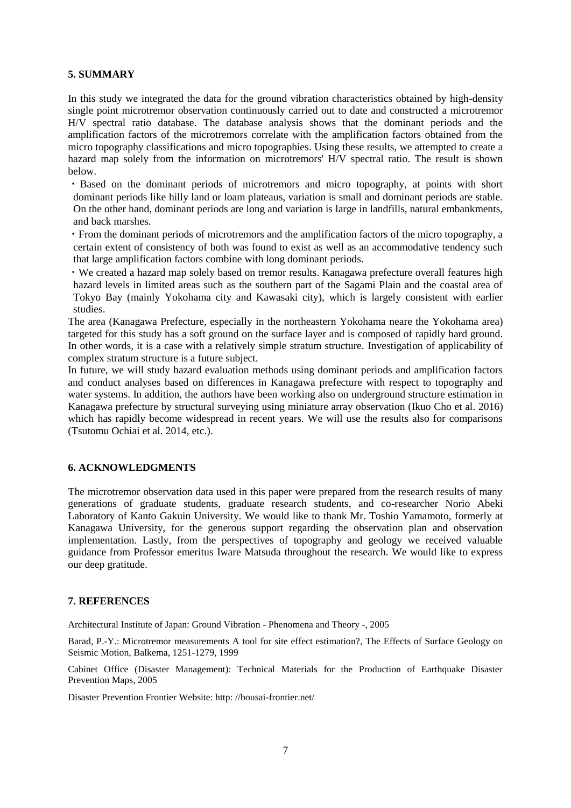#### **5. SUMMARY**

In this study we integrated the data for the ground vibration characteristics obtained by high-density single point microtremor observation continuously carried out to date and constructed a microtremor H/V spectral ratio database. The database analysis shows that the dominant periods and the amplification factors of the microtremors correlate with the amplification factors obtained from the micro topography classifications and micro topographies. Using these results, we attempted to create a hazard map solely from the information on microtremors' H/V spectral ratio. The result is shown below.

・Based on the dominant periods of microtremors and micro topography, at points with short dominant periods like hilly land or loam plateaus, variation is small and dominant periods are stable. On the other hand, dominant periods are long and variation is large in landfills, natural embankments, and back marshes.

・From the dominant periods of microtremors and the amplification factors of the micro topography, a certain extent of consistency of both was found to exist as well as an accommodative tendency such that large amplification factors combine with long dominant periods.

・We created a hazard map solely based on tremor results. Kanagawa prefecture overall features high hazard levels in limited areas such as the southern part of the Sagami Plain and the coastal area of Tokyo Bay (mainly Yokohama city and Kawasaki city), which is largely consistent with earlier studies.

The area (Kanagawa Prefecture, especially in the northeastern Yokohama neare the Yokohama area) targeted for this study has a soft ground on the surface layer and is composed of rapidly hard ground. In other words, it is a case with a relatively simple stratum structure. Investigation of applicability of complex stratum structure is a future subject.

In future, we will study hazard evaluation methods using dominant periods and amplification factors and conduct analyses based on differences in Kanagawa prefecture with respect to topography and water systems. In addition, the authors have been working also on underground structure estimation in Kanagawa prefecture by structural surveying using miniature array observation (Ikuo Cho et al. 2016) which has rapidly become widespread in recent years. We will use the results also for comparisons (Tsutomu Ochiai et al. 2014, etc.).

### **6. ACKNOWLEDGMENTS**

The microtremor observation data used in this paper were prepared from the research results of many generations of graduate students, graduate research students, and co-researcher Norio Abeki Laboratory of Kanto Gakuin University. We would like to thank Mr. Toshio Yamamoto, formerly at Kanagawa University, for the generous support regarding the observation plan and observation implementation. Lastly, from the perspectives of topography and geology we received valuable guidance from Professor emeritus Iware Matsuda throughout the research. We would like to express our deep gratitude.

#### **7. REFERENCES**

Architectural Institute of Japan: Ground Vibration - Phenomena and Theory -, 2005

Barad, P.-Y.: Microtremor measurements A tool for site effect estimation?, The Effects of Surface Geology on Seismic Motion, Balkema, 1251-1279, 1999

Cabinet Office (Disaster Management): Technical Materials for the Production of Earthquake Disaster Prevention Maps, 2005

Disaster Prevention Frontier Website: http: //bousai-frontier.net/